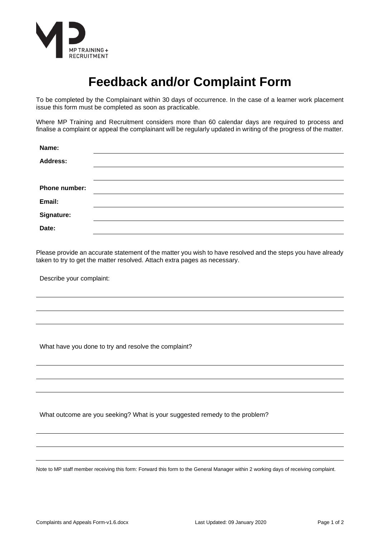

## **Feedback and/or Complaint Form**

To be completed by the Complainant within 30 days of occurrence. In the case of a learner work placement issue this form must be completed as soon as practicable.

Where MP Training and Recruitment considers more than 60 calendar days are required to process and finalise a complaint or appeal the complainant will be regularly updated in writing of the progress of the matter.

| Name:           |  |
|-----------------|--|
| <b>Address:</b> |  |
|                 |  |
| Phone number:   |  |
| Email:          |  |
| Signature:      |  |
| Date:           |  |

Please provide an accurate statement of the matter you wish to have resolved and the steps you have already taken to try to get the matter resolved. Attach extra pages as necessary.

Describe your complaint:

What have you done to try and resolve the complaint?

What outcome are you seeking? What is your suggested remedy to the problem?

Note to MP staff member receiving this form: Forward this form to the General Manager within 2 working days of receiving complaint.